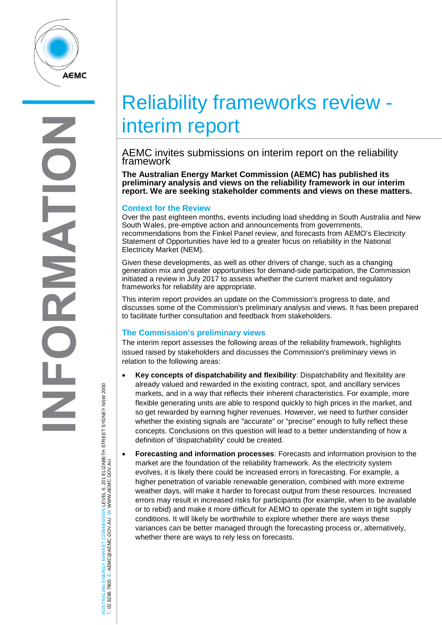

# Reliability frameworks review interim report

# AEMC invites submissions on interim report on the reliability framework

**The Australian Energy Market Commission (AEMC) has published its preliminary analysis and views on the reliability framework in our interim report. We are seeking stakeholder comments and views on these matters.**

### **Context for the Review**

Over the past eighteen months, events including load shedding in South Australia and New South Wales, pre-emptive action and announcements from governments, recommendations from the Finkel Panel review, and forecasts from AEMO's Electricity Statement of Opportunities have led to a greater focus on reliability in the National Electricity Market (NEM).

Given these developments, as well as other drivers of change, such as a changing generation mix and greater opportunities for demand-side participation, the Commission initiated a review in July 2017 to assess whether the current market and regulatory frameworks for reliability are appropriate.

This interim report provides an update on the Commission's progress to date, and discusses some of the Commission's preliminary analysis and views. It has been prepared to facilitate further consultation and feedback from stakeholders.

# **The Commission's preliminary views**

The interim report assesses the following areas of the reliability framework, highlights issued raised by stakeholders and discusses the Commission's preliminary views in relation to the following areas:

- **Key concepts of dispatchability and flexibility**: Dispatchability and flexibility are already valued and rewarded in the existing contract, spot, and ancillary services markets, and in a way that reflects their inherent characteristics. For example, more flexible generating units are able to respond quickly to high prices in the market, and so get rewarded by earning higher revenues. However, we need to further consider whether the existing signals are "accurate" or "precise" enough to fully reflect these concepts. Conclusions on this question will lead to a better understanding of how a definition of 'dispatchability' could be created.
- **Forecasting and information processes**: Forecasts and information provision to the market are the foundation of the reliability framework. As the electricity system evolves, it is likely there could be increased errors in forecasting. For example, a higher penetration of variable renewable generation, combined with more extreme weather days, will make it harder to forecast output from these resources. Increased errors may result in increased risks for participants (for example, when to be available or to rebid) and make it more difficult for AEMO to operate the system in tight supply conditions. It will likely be worthwhile to explore whether there are ways these variances can be better managed through the forecasting process or, alternatively, whether there are ways to rely less on forecasts.

AUSTRALIAN ENERGY MARKET COMMISSION LEVEL 6, 201 ELIZABETH STREET SYDNEY NSW 2000 ISTRALIAN ENERGY MARKET COMMISSION LEVEL 6, 201 ELIZABETH STREET SYDNEY NSM 2000<br>02 8296 7800 E: AEMC@AEMC.GOV.AU W: WWW.AEMC.GOV.AU W: WWW.AEMC.GOV.AU T: 02 8296 7800 E: AEMC@AEMC.GOV.AU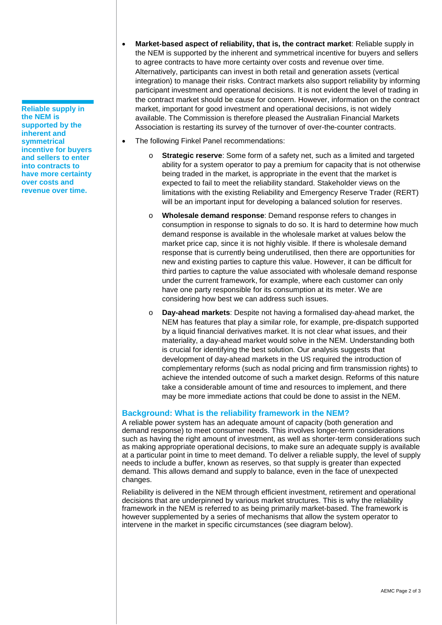**Reliable supply in the NEM is supported by the inherent and symmetrical incentive for buyers and sellers to enter into contracts to have more certainty over costs and revenue over time.**

- **Market-based aspect of reliability, that is, the contract market**: Reliable supply in the NEM is supported by the inherent and symmetrical incentive for buyers and sellers to agree contracts to have more certainty over costs and revenue over time. Alternatively, participants can invest in both retail and generation assets (vertical integration) to manage their risks. Contract markets also support reliability by informing participant investment and operational decisions. It is not evident the level of trading in the contract market should be cause for concern. However, information on the contract market, important for good investment and operational decisions, is not widely available. The Commission is therefore pleased the Australian Financial Markets Association is restarting its survey of the turnover of over-the-counter contracts.
- The following Finkel Panel recommendations:
	- o **Strategic reserve**: Some form of a safety net, such as a limited and targeted ability for a system operator to pay a premium for capacity that is not otherwise being traded in the market, is appropriate in the event that the market is expected to fail to meet the reliability standard. Stakeholder views on the limitations with the existing Reliability and Emergency Reserve Trader (RERT) will be an important input for developing a balanced solution for reserves.
	- o **Wholesale demand response**: Demand response refers to changes in consumption in response to signals to do so. It is hard to determine how much demand response is available in the wholesale market at values below the market price cap, since it is not highly visible. If there is wholesale demand response that is currently being underutilised, then there are opportunities for new and existing parties to capture this value. However, it can be difficult for third parties to capture the value associated with wholesale demand response under the current framework, for example, where each customer can only have one party responsible for its consumption at its meter. We are considering how best we can address such issues.
	- o **Day-ahead markets**: Despite not having a formalised day-ahead market, the NEM has features that play a similar role, for example, pre-dispatch supported by a liquid financial derivatives market. It is not clear what issues, and their materiality, a day-ahead market would solve in the NEM. Understanding both is crucial for identifying the best solution. Our analysis suggests that development of day-ahead markets in the US required the introduction of complementary reforms (such as nodal pricing and firm transmission rights) to achieve the intended outcome of such a market design. Reforms of this nature take a considerable amount of time and resources to implement, and there may be more immediate actions that could be done to assist in the NEM.

# **Background: What is the reliability framework in the NEM?**

A reliable power system has an adequate amount of capacity (both generation and demand response) to meet consumer needs. This involves longer-term considerations such as having the right amount of investment, as well as shorter-term considerations such as making appropriate operational decisions, to make sure an adequate supply is available at a particular point in time to meet demand. To deliver a reliable supply, the level of supply needs to include a buffer, known as reserves, so that supply is greater than expected demand. This allows demand and supply to balance, even in the face of unexpected changes.

Reliability is delivered in the NEM through efficient investment, retirement and operational decisions that are underpinned by various market structures. This is why the reliability framework in the NEM is referred to as being primarily market-based. The framework is however supplemented by a series of mechanisms that allow the system operator to intervene in the market in specific circumstances (see diagram below).